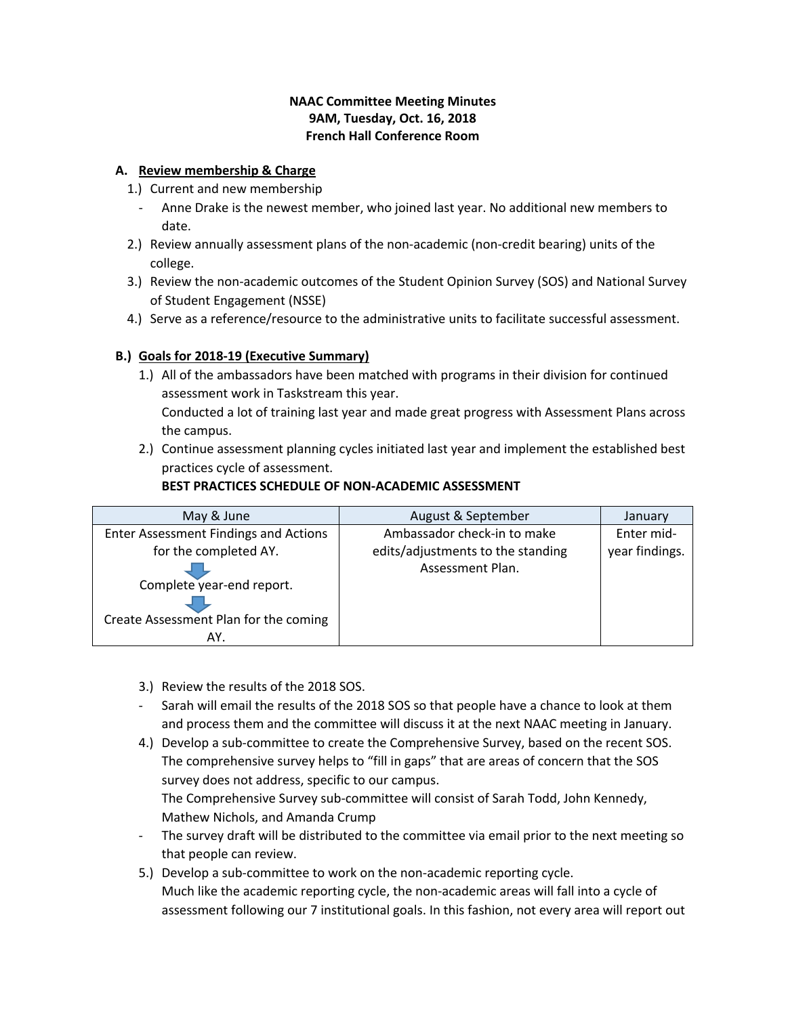## **NAAC Committee Meeting Minutes 9AM, Tuesday, Oct. 16, 2018 French Hall Conference Room**

## **A. Review membership & Charge**

- 1.) Current and new membership
	- Anne Drake is the newest member, who joined last year. No additional new members to date.
- 2.) Review annually assessment plans of the non-academic (non-credit bearing) units of the college.
- 3.) Review the non-academic outcomes of the Student Opinion Survey (SOS) and National Survey of Student Engagement (NSSE)
- 4.) Serve as a reference/resource to the administrative units to facilitate successful assessment.

# **B.) Goals for 2018-19 (Executive Summary)**

1.) All of the ambassadors have been matched with programs in their division for continued assessment work in Taskstream this year.

Conducted a lot of training last year and made great progress with Assessment Plans across the campus.

2.) Continue assessment planning cycles initiated last year and implement the established best practices cycle of assessment.

# **BEST PRACTICES SCHEDULE OF NON-ACADEMIC ASSESSMENT**

| May & June                                   | August & September                | January        |
|----------------------------------------------|-----------------------------------|----------------|
| <b>Enter Assessment Findings and Actions</b> | Ambassador check-in to make       | Enter mid-     |
| for the completed AY.                        | edits/adjustments to the standing | year findings. |
|                                              | Assessment Plan.                  |                |
| Complete year-end report.                    |                                   |                |
|                                              |                                   |                |
| Create Assessment Plan for the coming        |                                   |                |
| AY.                                          |                                   |                |

3.) Review the results of the 2018 SOS.

- Sarah will email the results of the 2018 SOS so that people have a chance to look at them and process them and the committee will discuss it at the next NAAC meeting in January.
- 4.) Develop a sub-committee to create the Comprehensive Survey, based on the recent SOS. The comprehensive survey helps to "fill in gaps" that are areas of concern that the SOS survey does not address, specific to our campus.

The Comprehensive Survey sub-committee will consist of Sarah Todd, John Kennedy, Mathew Nichols, and Amanda Crump

- The survey draft will be distributed to the committee via email prior to the next meeting so that people can review.
- 5.) Develop a sub-committee to work on the non-academic reporting cycle. Much like the academic reporting cycle, the non-academic areas will fall into a cycle of assessment following our 7 institutional goals. In this fashion, not every area will report out